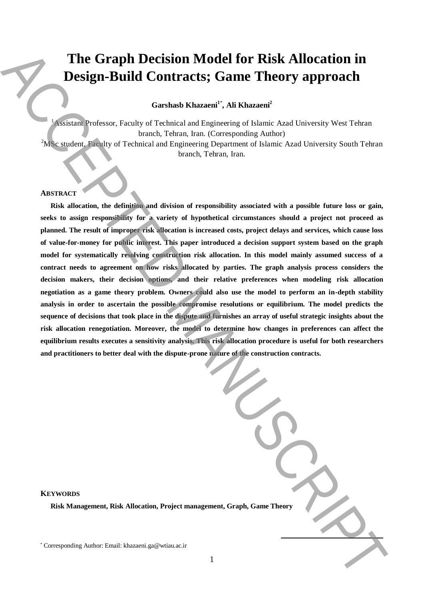# **The Graph Decision Model for Risk Allocation in Design-Build Contracts; Game Theory approach**

**Garshasb Khazaeni<sup>1</sup>**\* **, Ali Khazaeni<sup>2</sup>**

<sup>1</sup>Assistant Professor, Faculty of Technical and Engineering of Islamic Azad University West Tehran branch, Tehran, Iran. (Corresponding Author) <sup>2</sup>MSc student, Faculty of Technical and Engineering Department of Islamic Azad University South Tehran branch, Tehran, Iran.

### **ABSTRACT**

**Risk allocation, the definition and division of responsibility associated with a possible future loss or gain, seeks to assign responsibility for a variety of hypothetical circumstances should a project not proceed as planned. The result of improper risk allocation is increased costs, project delays and services, which cause loss of value-for-money for public interest. This paper introduced a decision support system based on the graph model for systematically resolving construction risk allocation. In this model mainly assumed success of a contract needs to agreement on how risks allocated by parties. The graph analysis process considers the decision makers, their decision options, and their relative preferences when modeling risk allocation negotiation as a game theory problem. Owners could also use the model to perform an in-depth stability analysis in order to ascertain the possible compromise resolutions or equilibrium. The model predicts the sequence of decisions that took place in the dispute and furnishes an array of useful strategic insights about the risk allocation renegotiation. Moreover, the model to determine how changes in preferences can affect the equilibrium results executes a sensitivity analysis. This risk allocation procedure is useful for both researchers and practitioners to better deal with the dispute-prone nature of the construction contracts.** The Graph Decision Model for Risk Allocation in<br>
Design-Build Contracts; Game Theory approach<br>
Corresponding Autom (Entire Elementary Corresponding Author)<br>
State and Corresponding Author: Accept and Corresponding Author:

| anagement, Graph, Game Theory |  |
|-------------------------------|--|
|                               |  |

**KEYWORDS**

**Risk Management, Risk Allocation, Project management, Risk Allocation, Project management**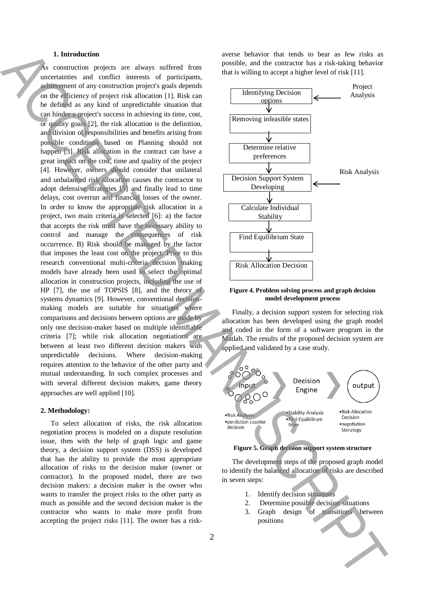#### **1. Introduction**

construction projects are always suffered from uncertainties and conflict interests of participants, achievement of any construction project's goals depends on the efficiency of project risk allocation [1]. Risk can be defined as any kind of unpredictable situation that can hinder a project's success in achieving its time, cost, or quality goals [2], the risk allocation is the definition, and division of responsibilities and benefits arising from possible conditions based on Planning should not happen [3]. Risk allocation in the contract can have a great impact on the cost, time and quality of the project [4]. However, owners should consider that unilateral and unbalanced risk allocation causes the contractor to adopt defensive strategies [5] and finally lead to time delays, cost overrun and financial losses of the owner. In order to know the appropriate risk allocation in a project, two main criteria is selected [6]: a) the factor that accepts the risk must have the necessary ability to control and manage the consequences of risk occurrence. B) Risk should be managed by the factor that imposes the least cost on the project. Prior to this research conventional multi-criteria decision making models have already been used to select the optimal allocation in construction projects, including the use of HP [7], the use of TOPSIS [8], and the theory of systems dynamics [9]. However, conventional decisionmaking models are suitable for situations where comparisons and decisions between options are made by only one decision-maker based on multiple identifiable criteria [7]; while risk allocation negotiations are between at least two different decision makers with unpredictable decisions. Where decision-making requires attention to the behavior of the other party and mutual understanding. In such complex processes and with several different decision makers, game theory approaches are well applied [10]. L. Introduction, the state of continued in the state of the latter in the state of the latter of the state of the state of the state of the state of the state of the state of the state of the state of the state of the sta

#### **2. Methodology:**

To select allocation of risks, the risk allocation negotiation process is modeled on a dispute resolution issue, then with the help of graph logic and game theory, a decision support system (DSS) is developed that has the ability to provide the most appropriate allocation of risks to the decision maker (owner or contractor). In the proposed model, there are two decision makers: a decision maker is the owner who wants to transfer the project risks to the other party as much as possible and the second decision maker is the contractor who wants to make more profit from accepting the project risks [11]. The owner has a riskaverse behavior that tends to bear as few risks as possible, and the contractor has a risk-taking behavior that is willing to accept a higher level of risk [11].



**Figure 4. Problem solving process and graph decision model development process**

Finally, a decision support system for selecting risk allocation has been developed using the graph model and coded in the form of a software program in the Matlab. The results of the proposed decision system are applied and validated by a case study.



## **Figure 5. Graph decision support system structure**

The development steps of the proposed graph model to identify the balanced allocation of risks are described in seven steps:

- 1. Identify decision situations
- 2. Determine possible decision situations
- 3. Graph design of transitions between positions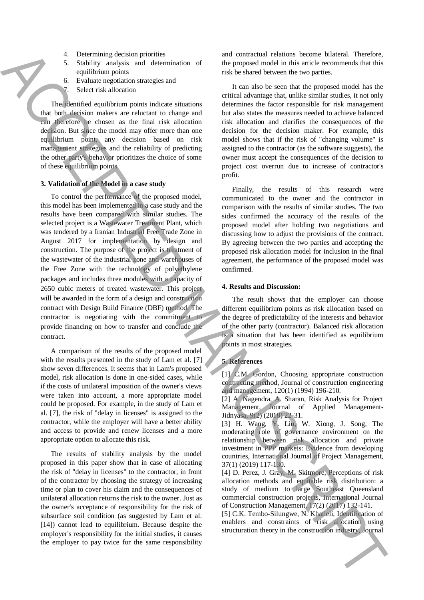- 4. Determining decision priorities
- 5. Stability analysis and determination of equilibrium points
- 6. Evaluate negotiation strategies and
	- Select risk allocation

The identified equilibrium points indicate situations that both decision makers are reluctant to change and can therefore be chosen as the final risk allocation decision. But since the model may offer more than one equilibrium point, any decision based on risk management strategies and the reliability of predicting the other party's behavior prioritizes the choice of some of these equilibrium points.

## **3. Validation of the Model in a case study**

To control the performance of the proposed model, this model has been implemented in a case study and the results have been compared with similar studies. The selected project is a Wastewater Treatment Plant, which was tendered by a Iranian Industrial Free Trade Zone in August 2017 for implementation by design and construction. The purpose of the project is treatment of the wastewater of the industrial zone and warehouses of the Free Zone with the technology of polyethylene packages and includes three modules with a capacity of 2650 cubic meters of treated wastewater. This project will be awarded in the form of a design and construction contract with Design Build Finance (DBF) method. The contractor is negotiating with the commitment to provide financing on how to transfer and conclude the contract. s. Detection to the construction to the construction in the construction in the construction in the construction in the construction in the construction in the construction in the construction in the construction in the c

A comparison of the results of the proposed model with the results presented in the study of Lam et al. [7] show seven differences. It seems that in Lam's proposed model, risk allocation is done in one-sided cases, while if the costs of unilateral imposition of the owner's views were taken into account, a more appropriate model could be proposed. For example, in the study of Lam et al. [7], the risk of "delay in licenses" is assigned to the contractor, while the employer will have a better ability and access to provide and renew licenses and a more appropriate option to allocate this risk.

The results of stability analysis by the model proposed in this paper show that in case of allocating the risk of "delay in licenses" to the contractor, in front of the contractor by choosing the strategy of increasing time or plan to cover his claim and the consequences of unilateral allocation returns the risk to the owner. Just as the owner's acceptance of responsibility for the risk of subsurface soil condition (as suggested by Lam et al. [14]) cannot lead to equilibrium. Because despite the employer's responsibility for the initial studies, it causes the employer to pay twice for the same responsibility and contractual relations become bilateral. Therefore, the proposed model in this article recommends that this risk be shared between the two parties.

It can also be seen that the proposed model has the critical advantage that, unlike similar studies, it not only determines the factor responsible for risk management but also states the measures needed to achieve balanced risk allocation and clarifies the consequences of the decision for the decision maker. For example, this model shows that if the risk of "changing volume" is assigned to the contractor (as the software suggests), the owner must accept the consequences of the decision to project cost overrun due to increase of contractor's profit.

Finally, the results of this research were communicated to the owner and the contractor in comparison with the results of similar studies. The two sides confirmed the accuracy of the results of the proposed model after holding two negotiations and discussing how to adjust the provisions of the contract. By agreeing between the two parties and accepting the proposed risk allocation model for inclusion in the final agreement, the performance of the proposed model was confirmed.

#### **4. Results and Discussion:**

The result shows that the employer can choose different equilibrium points as risk allocation based on the degree of predictability of the interests and behavior of the other party (contractor). Balanced risk allocation is a situation that has been identified as equilibrium points in most strategies.

## **5. References**

[1] C.M. Gordon, Choosing appropriate construction contracting method, Journal of construction engineering and management, 120(1) (1994) 196-210.

[2] A. Nagendra, A. Sharan, Risk Analysis for Project Management, Journal of Applied Management-Jidnyasa, 9(2) (2018) 22-31.

[3] H. Wang, Y. Liu, W. Xiong, J. Song, The moderating role of governance environment on the relationship between risk allocation and private investment in PPP markets: Evidence from developing countries, International Journal of Project Management, 37(1) (2019) 117-130.

[4] D. Perez, J. Gray, M. Skitmore, Perceptions of risk allocation methods and equitable risk distribution: a study of medium to large Southeast Queensland commercial construction projects, International Journal of Construction Management, 17(2) (2017) 132-141.

[5] C.K. Tembo-Silungwe, N. Khatleli, Identification of enablers and constraints of risk allocation using